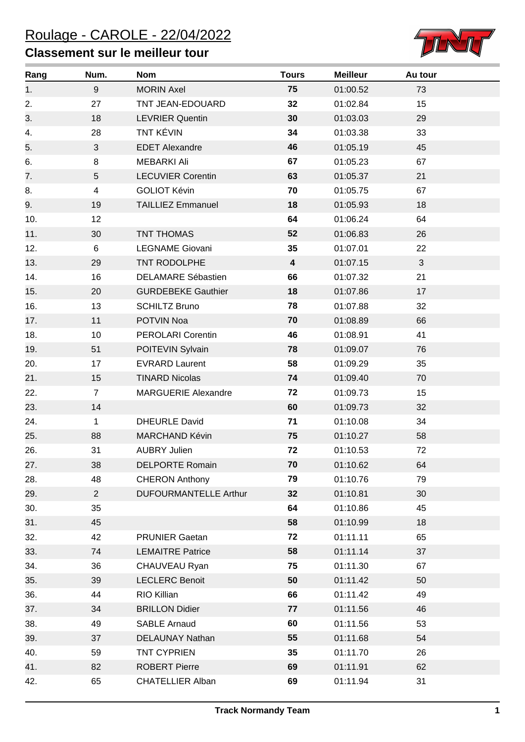## **Classement sur le meilleur tour**



| Rang | Num.           | <b>Nom</b>                   | <b>Tours</b>            | <b>Meilleur</b> | Au tour |
|------|----------------|------------------------------|-------------------------|-----------------|---------|
| 1.   | 9              | <b>MORIN Axel</b>            | 75                      | 01:00.52        | 73      |
| 2.   | 27             | TNT JEAN-EDOUARD             | 32                      | 01:02.84        | 15      |
| 3.   | 18             | <b>LEVRIER Quentin</b>       | 30                      | 01:03.03        | 29      |
| 4.   | 28             | <b>TNT KÉVIN</b>             | 34                      | 01:03.38        | 33      |
| 5.   | 3              | <b>EDET Alexandre</b>        | 46                      | 01:05.19        | 45      |
| 6.   | 8              | <b>MEBARKI Ali</b>           | 67                      | 01:05.23        | 67      |
| 7.   | 5              | <b>LECUVIER Corentin</b>     | 63                      | 01:05.37        | 21      |
| 8.   | $\overline{4}$ | <b>GOLIOT Kévin</b>          | 70                      | 01:05.75        | 67      |
| 9.   | 19             | <b>TAILLIEZ Emmanuel</b>     | 18                      | 01:05.93        | 18      |
| 10.  | 12             |                              | 64                      | 01:06.24        | 64      |
| 11.  | 30             | <b>TNT THOMAS</b>            | 52                      | 01:06.83        | 26      |
| 12.  | 6              | <b>LEGNAME Giovani</b>       | 35                      | 01:07.01        | 22      |
| 13.  | 29             | TNT RODOLPHE                 | $\overline{\mathbf{4}}$ | 01:07.15        | 3       |
| 14.  | 16             | <b>DELAMARE Sébastien</b>    | 66                      | 01:07.32        | 21      |
| 15.  | 20             | <b>GURDEBEKE Gauthier</b>    | 18                      | 01:07.86        | 17      |
| 16.  | 13             | <b>SCHILTZ Bruno</b>         | 78                      | 01:07.88        | 32      |
| 17.  | 11             | POTVIN Noa                   | 70                      | 01:08.89        | 66      |
| 18.  | 10             | <b>PEROLARI Corentin</b>     | 46                      | 01:08.91        | 41      |
| 19.  | 51             | POITEVIN Sylvain             | 78                      | 01:09.07        | 76      |
| 20.  | 17             | <b>EVRARD Laurent</b>        | 58                      | 01:09.29        | 35      |
| 21.  | 15             | <b>TINARD Nicolas</b>        | 74                      | 01:09.40        | 70      |
| 22.  | $\overline{7}$ | <b>MARGUERIE Alexandre</b>   | 72                      | 01:09.73        | 15      |
| 23.  | 14             |                              | 60                      | 01:09.73        | 32      |
| 24.  | $\mathbf{1}$   | <b>DHEURLE David</b>         | 71                      | 01:10.08        | 34      |
| 25.  | 88             | MARCHAND Kévin               | 75                      | 01:10.27        | 58      |
| 26.  | 31             | <b>AUBRY Julien</b>          | 72                      | 01:10.53        | 72      |
| 27.  | 38             | <b>DELPORTE Romain</b>       | 70                      | 01:10.62        | 64      |
| 28.  | 48             | <b>CHERON Anthony</b>        | 79                      | 01:10.76        | 79      |
| 29.  | $2^{\circ}$    | <b>DUFOURMANTELLE Arthur</b> | 32                      | 01:10.81        | 30      |
| 30.  | 35             |                              | 64                      | 01:10.86        | 45      |
| 31.  | 45             |                              | 58                      | 01:10.99        | 18      |
| 32.  | 42             | <b>PRUNIER Gaetan</b>        | 72                      | 01:11.11        | 65      |
| 33.  | 74             | <b>LEMAITRE Patrice</b>      | 58                      | 01:11.14        | 37      |
| 34.  | 36             | CHAUVEAU Ryan                | 75                      | 01:11.30        | 67      |
| 35.  | 39             | <b>LECLERC Benoit</b>        | 50                      | 01:11.42        | 50      |
| 36.  | 44             | RIO Killian                  | 66                      | 01:11.42        | 49      |
| 37.  | 34             | <b>BRILLON Didier</b>        | 77                      | 01:11.56        | 46      |
| 38.  | 49             | <b>SABLE Arnaud</b>          | 60                      | 01:11.56        | 53      |
| 39.  | 37             | DELAUNAY Nathan              | 55                      | 01:11.68        | 54      |
| 40.  | 59             | <b>TNT CYPRIEN</b>           | 35                      | 01:11.70        | 26      |
| 41.  | 82             | <b>ROBERT Pierre</b>         | 69                      | 01:11.91        | 62      |
| 42.  | 65             | <b>CHATELLIER Alban</b>      | 69                      | 01:11.94        | 31      |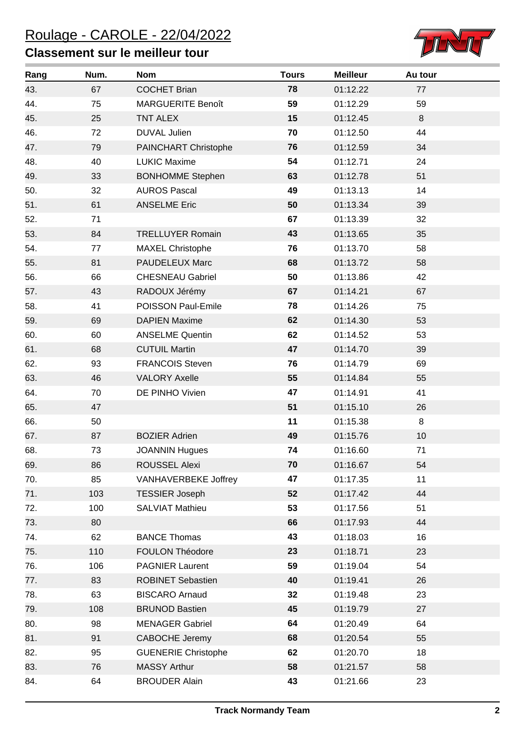## **Classement sur le meilleur tour**



| Rang | Num. | <b>Nom</b>                 | <b>Tours</b> | <b>Meilleur</b> | Au tour |  |
|------|------|----------------------------|--------------|-----------------|---------|--|
| 43.  | 67   | <b>COCHET Brian</b>        | 78           | 01:12.22        | 77      |  |
| 44.  | 75   | <b>MARGUERITE Benoît</b>   | 59           | 01:12.29        | 59      |  |
| 45.  | 25   | <b>TNT ALEX</b>            | 15           | 01:12.45        | 8       |  |
| 46.  | 72   | <b>DUVAL Julien</b>        | 70           | 01:12.50        | 44      |  |
| 47.  | 79   | PAINCHART Christophe       | 76           | 01:12.59        | 34      |  |
| 48.  | 40   | <b>LUKIC Maxime</b>        | 54           | 01:12.71        | 24      |  |
| 49.  | 33   | <b>BONHOMME Stephen</b>    | 63           | 01:12.78        | 51      |  |
| 50.  | 32   | <b>AUROS Pascal</b>        | 49           | 01:13.13        | 14      |  |
| 51.  | 61   | <b>ANSELME Eric</b>        | 50           | 01:13.34        | 39      |  |
| 52.  | 71   |                            | 67           | 01:13.39        | 32      |  |
| 53.  | 84   | <b>TRELLUYER Romain</b>    | 43           | 01:13.65        | 35      |  |
| 54.  | 77   | <b>MAXEL Christophe</b>    | 76           | 01:13.70        | 58      |  |
| 55.  | 81   | PAUDELEUX Marc             | 68           | 01:13.72        | 58      |  |
| 56.  | 66   | <b>CHESNEAU Gabriel</b>    | 50           | 01:13.86        | 42      |  |
| 57.  | 43   | RADOUX Jérémy              | 67           | 01:14.21        | 67      |  |
| 58.  | 41   | POISSON Paul-Emile         | 78           | 01:14.26        | 75      |  |
| 59.  | 69   | <b>DAPIEN Maxime</b>       | 62           | 01:14.30        | 53      |  |
| 60.  | 60   | <b>ANSELME Quentin</b>     | 62           | 01:14.52        | 53      |  |
| 61.  | 68   | <b>CUTUIL Martin</b>       | 47           | 01:14.70        | 39      |  |
| 62.  | 93   | <b>FRANCOIS Steven</b>     | 76           | 01:14.79        | 69      |  |
| 63.  | 46   | <b>VALORY Axelle</b>       | 55           | 01:14.84        | 55      |  |
| 64.  | 70   | DE PINHO Vivien            | 47           | 01:14.91        | 41      |  |
| 65.  | 47   |                            | 51           | 01:15.10        | 26      |  |
| 66.  | 50   |                            | 11           | 01:15.38        | 8       |  |
| 67.  | 87   | <b>BOZIER Adrien</b>       | 49           | 01:15.76        | 10      |  |
| 68.  | 73   | <b>JOANNIN Hugues</b>      | 74           | 01:16.60        | 71      |  |
| 69.  | 86   | ROUSSEL Alexi              | 70           | 01:16.67        | 54      |  |
| 70.  | 85   | VANHAVERBEKE Joffrey       | 47           | 01:17.35        | 11      |  |
| 71.  | 103  | <b>TESSIER Joseph</b>      | 52           | 01:17.42        | 44      |  |
| 72.  | 100  | <b>SALVIAT Mathieu</b>     | 53           | 01:17.56        | 51      |  |
| 73.  | 80   |                            | 66           | 01:17.93        | 44      |  |
| 74.  | 62   | <b>BANCE Thomas</b>        | 43           | 01:18.03        | 16      |  |
| 75.  | 110  | FOULON Théodore            | 23           | 01:18.71        | 23      |  |
| 76.  | 106  | <b>PAGNIER Laurent</b>     | 59           | 01:19.04        | 54      |  |
| 77.  | 83   | <b>ROBINET Sebastien</b>   | 40           | 01:19.41        | 26      |  |
| 78.  | 63   | <b>BISCARO Arnaud</b>      | 32           | 01:19.48        | 23      |  |
| 79.  | 108  | <b>BRUNOD Bastien</b>      | 45           | 01:19.79        | 27      |  |
| 80.  | 98   | <b>MENAGER Gabriel</b>     | 64           | 01:20.49        | 64      |  |
| 81.  | 91   | <b>CABOCHE Jeremy</b>      | 68           | 01:20.54        | 55      |  |
| 82.  | 95   | <b>GUENERIE Christophe</b> | 62           | 01:20.70        | 18      |  |
| 83.  | 76   | <b>MASSY Arthur</b>        | 58           | 01:21.57        | 58      |  |
| 84.  | 64   | <b>BROUDER Alain</b>       | 43           | 01:21.66        | 23      |  |